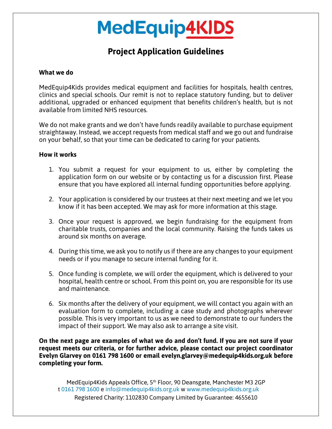## **MedEquip4KIDS**

### **Project Application Guidelines**

### **What we do**

MedEquip4Kids provides medical equipment and facilities for hospitals, health centres, clinics and special schools. Our remit is not to replace statutory funding, but to deliver additional, upgraded or enhanced equipment that benefits children's health, but is not available from limited NHS resources.

We do not make grants and we don't have funds readily available to purchase equipment straightaway. Instead, we accept requests from medical staff and we go out and fundraise on your behalf, so that your time can be dedicated to caring for your patients.

#### **How it works**

- 1. You submit a request for your equipment to us, either by completing the application form on our website or by contacting us for a discussion first. Please ensure that you have explored all internal funding opportunities before applying.
- 2. Your application is considered by our trustees at their next meeting and we let you know if it has been accepted. We may ask for more information at this stage.
- 3. Once your request is approved, we begin fundraising for the equipment from charitable trusts, companies and the local community. Raising the funds takes us around six months on average.
- 4. During this time, we ask you to notify us if there are any changes to your equipment needs or if you manage to secure internal funding for it.
- 5. Once funding is complete, we will order the equipment, which is delivered to your hospital, health centre or school. From this point on, you are responsible for its use and maintenance.
- 6. Six months after the delivery of your equipment, we will contact you again with an evaluation form to complete, including a case study and photographs wherever possible. This is very important to us as we need to demonstrate to our funders the impact of their support. We may also ask to arrange a site visit.

**On the next page are examples of what we do and don't fund. If you are not sure if your request meets our criteria, or for further advice, please contact our project coordinator Evelyn Glarvey on 0161 798 1600 or email evelyn.glarvey@medequip4kids.org.uk before completing your form.**

MedEquip4Kids Appeals Office, 5<sup>th</sup> Floor, 90 Deansgate, Manchester M3 2GP t 0161 798 1600 e info@medequip4kids.org.uk w www.medequip4kids.org.uk Registered Charity: 1102830 Company Limited by Guarantee: 4655610